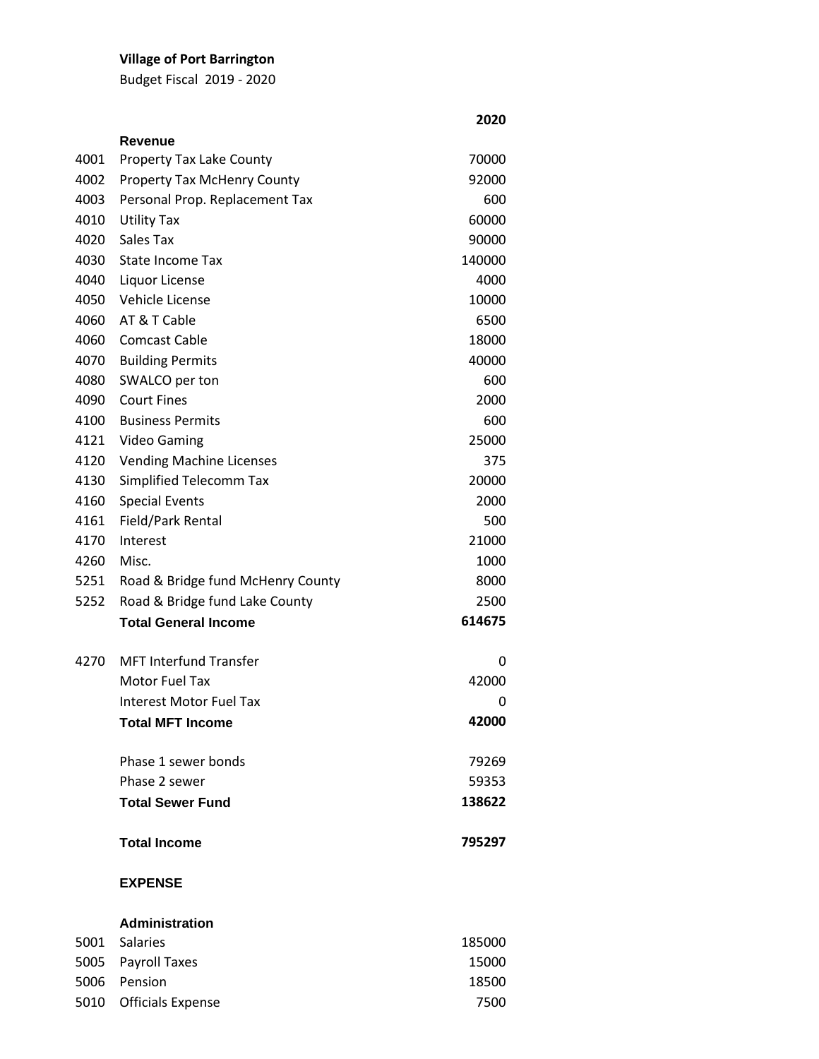# **Village of Port Barrington**

Budget Fiscal 2019 - 2020

|      | Revenue                            |        |
|------|------------------------------------|--------|
| 4001 | <b>Property Tax Lake County</b>    | 70000  |
| 4002 | <b>Property Tax McHenry County</b> | 92000  |
| 4003 | Personal Prop. Replacement Tax     | 600    |
| 4010 | <b>Utility Tax</b>                 | 60000  |
| 4020 | Sales Tax                          | 90000  |
| 4030 | State Income Tax                   | 140000 |
| 4040 | Liquor License                     | 4000   |
| 4050 | Vehicle License                    | 10000  |
| 4060 | AT & T Cable                       | 6500   |
| 4060 | <b>Comcast Cable</b>               | 18000  |
| 4070 | <b>Building Permits</b>            | 40000  |
| 4080 | SWALCO per ton                     | 600    |
| 4090 | <b>Court Fines</b>                 | 2000   |
| 4100 | <b>Business Permits</b>            | 600    |
| 4121 | <b>Video Gaming</b>                | 25000  |
| 4120 | <b>Vending Machine Licenses</b>    | 375    |
| 4130 | Simplified Telecomm Tax            | 20000  |
| 4160 | <b>Special Events</b>              | 2000   |
| 4161 | Field/Park Rental                  | 500    |
| 4170 | Interest                           | 21000  |
| 4260 | Misc.                              | 1000   |
| 5251 | Road & Bridge fund McHenry County  | 8000   |
| 5252 | Road & Bridge fund Lake County     | 2500   |
|      | <b>Total General Income</b>        | 614675 |
| 4270 | <b>MFT Interfund Transfer</b>      | 0      |
|      | Motor Fuel Tax                     | 42000  |
|      | Interest Motor Fuel Tax            | 0      |
|      | <b>Total MFT Income</b>            | 42000  |
|      | Phase 1 sewer bonds                | 79269  |
|      | Phase 2 sewer                      | 59353  |
|      | <b>Total Sewer Fund</b>            | 138622 |
|      | <b>Total Income</b>                | 795297 |
|      | <b>EXPENSE</b>                     |        |
|      | <b>Administration</b>              |        |
| 5001 | Salaries                           | 185000 |
| 5005 | Payroll Taxes                      | 15000  |
| 5006 | Pension                            | 18500  |
|      | <b>Officials Expense</b>           | 7500   |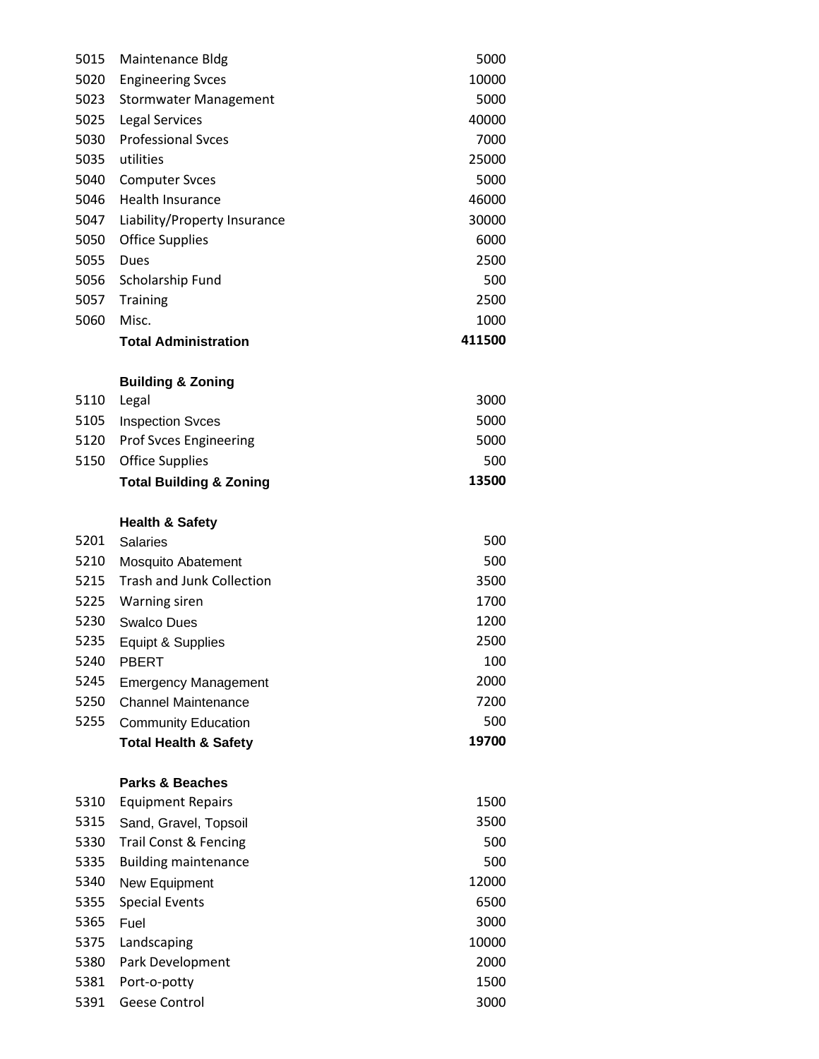| 5015 | <b>Maintenance Bldg</b>            | 5000   |
|------|------------------------------------|--------|
| 5020 | <b>Engineering Svces</b>           | 10000  |
| 5023 | <b>Stormwater Management</b>       | 5000   |
| 5025 | Legal Services                     | 40000  |
| 5030 | <b>Professional Syces</b>          | 7000   |
| 5035 | utilities                          | 25000  |
| 5040 | <b>Computer Svces</b>              | 5000   |
| 5046 | <b>Health Insurance</b>            | 46000  |
| 5047 | Liability/Property Insurance       | 30000  |
| 5050 | <b>Office Supplies</b>             | 6000   |
| 5055 | Dues                               | 2500   |
| 5056 | Scholarship Fund                   | 500    |
| 5057 | Training                           | 2500   |
| 5060 | Misc.                              | 1000   |
|      | <b>Total Administration</b>        | 411500 |
|      | <b>Building &amp; Zoning</b>       |        |
| 5110 | Legal                              | 3000   |
| 5105 | <b>Inspection Svces</b>            | 5000   |
| 5120 | <b>Prof Svces Engineering</b>      | 5000   |
| 5150 | <b>Office Supplies</b>             | 500    |
|      | <b>Total Building &amp; Zoning</b> | 13500  |
|      | <b>Health &amp; Safety</b>         |        |
| 5201 | <b>Salaries</b>                    | 500    |
| 5210 | Mosquito Abatement                 | 500    |
| 5215 | <b>Trash and Junk Collection</b>   | 3500   |
| 5225 | <b>Warning siren</b>               | 1700   |
| 5230 | <b>Swalco Dues</b>                 | 1200   |
| 5235 | Equipt & Supplies                  | 2500   |
| 5240 | <b>PBERT</b>                       | 100    |
| 5245 | <b>Emergency Management</b>        | 2000   |
| 5250 | <b>Channel Maintenance</b>         | 7200   |
| 5255 | <b>Community Education</b>         | 500    |
|      | <b>Total Health &amp; Safety</b>   | 19700  |
|      | <b>Parks &amp; Beaches</b>         |        |
| 5310 | <b>Equipment Repairs</b>           | 1500   |
| 5315 | Sand, Gravel, Topsoil              | 3500   |
| 5330 | Trail Const & Fencing              | 500    |
| 5335 | <b>Building maintenance</b>        | 500    |
| 5340 | New Equipment                      | 12000  |
| 5355 | <b>Special Events</b>              | 6500   |
| 5365 | Fuel                               | 3000   |
| 5375 | Landscaping                        | 10000  |
| 5380 | Park Development                   | 2000   |
| 5381 | Port-o-potty                       | 1500   |
| 5391 | <b>Geese Control</b>               | 3000   |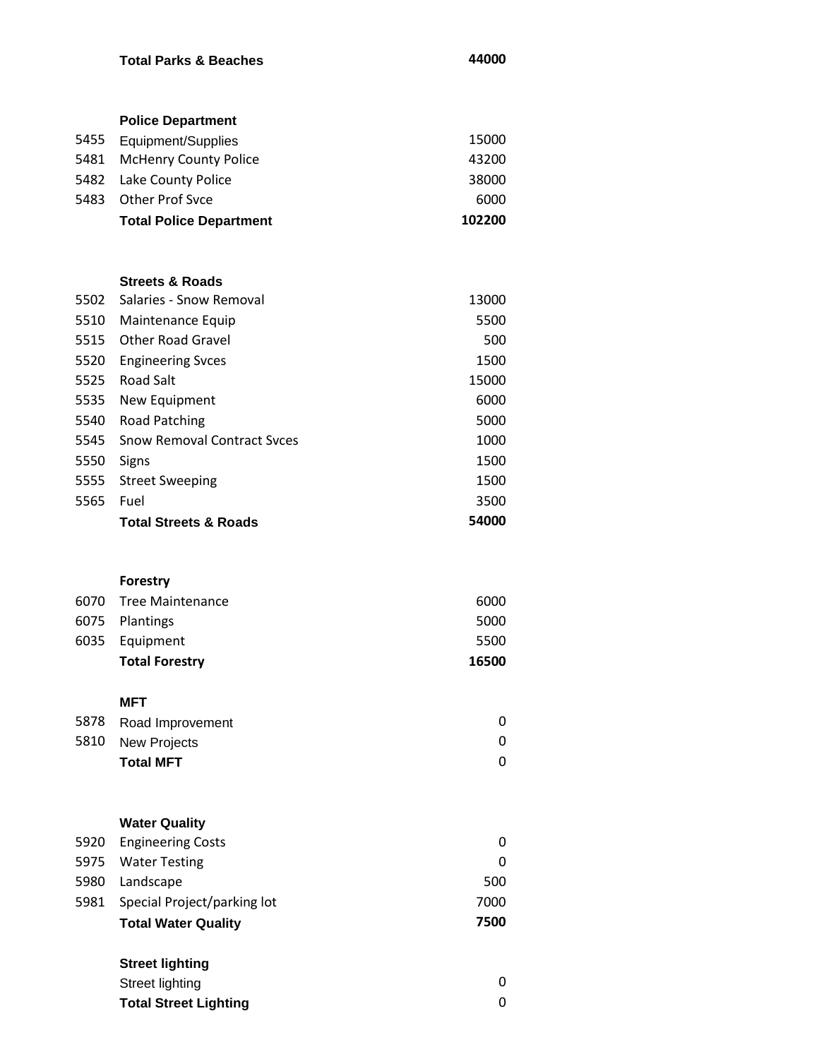### **Total Parks & Beaches 44000**

|      | <b>Police Department</b>       |        |
|------|--------------------------------|--------|
| 5455 | Equipment/Supplies             | 15000  |
| 5481 | <b>McHenry County Police</b>   | 43200  |
| 5482 | Lake County Police             | 38000  |
| 5483 | Other Prof Syce                | 6000   |
|      | <b>Total Police Department</b> | 102200 |
|      |                                |        |
|      |                                |        |

#### **Streets & Roads**

| 5502 | Salaries - Snow Removal            | 13000 |
|------|------------------------------------|-------|
| 5510 | Maintenance Equip                  | 5500  |
| 5515 | Other Road Gravel                  | 500   |
| 5520 | <b>Engineering Syces</b>           | 1500  |
| 5525 | Road Salt                          | 15000 |
| 5535 | New Equipment                      | 6000  |
| 5540 | <b>Road Patching</b>               | 5000  |
| 5545 | <b>Snow Removal Contract Syces</b> | 1000  |
| 5550 | Signs                              | 1500  |
| 5555 | <b>Street Sweeping</b>             | 1500  |
| 5565 | Fuel                               | 3500  |
|      | <b>Total Streets &amp; Roads</b>   | 54000 |

#### **Forestry**

| <b>Total Forestry</b> | 16500 |
|-----------------------|-------|
| 6035 Equipment        | 5500  |
| 6075 Plantings        | 5000  |
| 6070 Tree Maintenance | 6000  |

# **MFT**

| 5810 New Projects |  |
|-------------------|--|
| <b>Total MFT</b>  |  |

# **Water Quality**

| <b>Total Water Quality</b>       | 7500 |
|----------------------------------|------|
| 5981 Special Project/parking lot | 7000 |
| 5980 Landscape                   | 500  |
| 5975 Water Testing               | 0    |
| 5920 Engineering Costs           | 0    |

# **Street lighting**

| Street lighting              |  |
|------------------------------|--|
| <b>Total Street Lighting</b> |  |